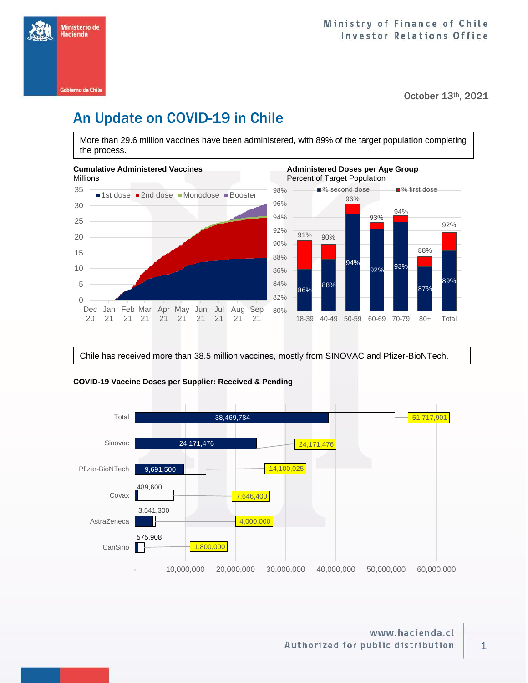

October 13th, 2021

# An Update on COVID-19 in Chile

More than 29.6 million vaccines have been administered, with 89% of the target population completing the process.



Chile has received more than 38.5 million vaccines, mostly from SINOVAC and Pfizer-BioNTech.



### **COVID-19 Vaccine Doses per Supplier: Received & Pending**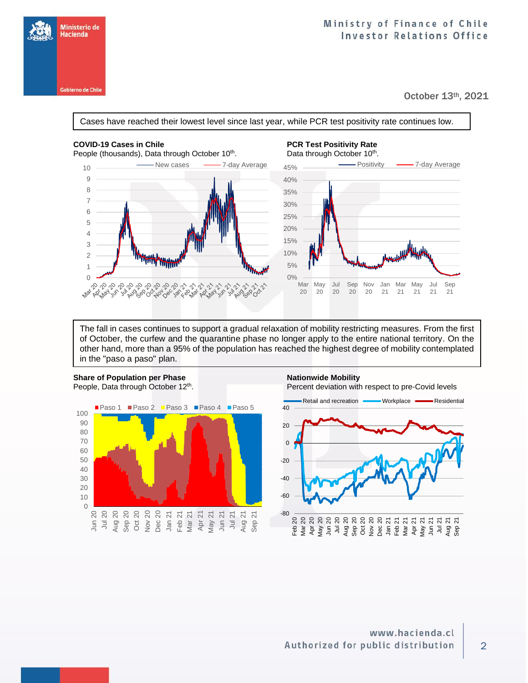

## Ministry of Finance of Chile **Investor Relations Office**

October 13th, 2021

Cases have reached their lowest level since last year, while PCR test positivity rate continues low.

People (thousands), Data through October 10<sup>th</sup>.



## COVID-19 Cases in Chile **PCR Test Positivity Rate**



The fall in cases continues to support a gradual relaxation of mobility restricting measures. From the first of October, the curfew and the quarantine phase no longer apply to the entire national territory. On the other hand, more than a 95% of the population has reached the highest degree of mobility contemplated in the "paso a paso" plan.



## 2